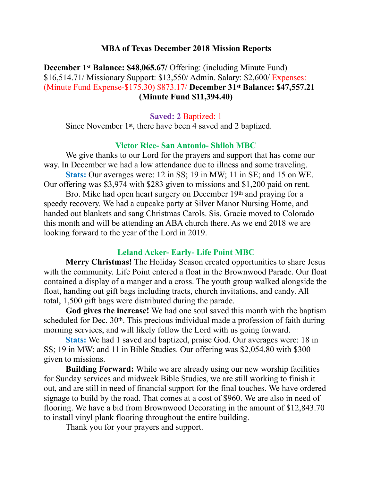### **MBA of Texas December 2018 Mission Reports**

**December 1st Balance: \$48,065.67/ Offering: (including Minute Fund)** \$16,514.71/ Missionary Support: \$13,550/ Admin. Salary: \$2,600/ Expenses: (Minute Fund Expense-\$175.30) \$873.17/ **December 31st Balance: \$47,557.21 (Minute Fund \$11,394.40)** 

**Saved: 2** Baptized: 1

Since November 1st, there have been 4 saved and 2 baptized.

### **Victor Rice- San Antonio- Shiloh MBC**

 We give thanks to our Lord for the prayers and support that has come our way. In December we had a low attendance due to illness and some traveling. **Stats:** Our averages were: 12 in SS; 19 in MW; 11 in SE; and 15 on WE. Our offering was \$3,974 with \$283 given to missions and \$1,200 paid on rent.

 Bro. Mike had open heart surgery on December 19th and praying for a speedy recovery. We had a cupcake party at Silver Manor Nursing Home, and handed out blankets and sang Christmas Carols. Sis. Gracie moved to Colorado this month and will be attending an ABA church there. As we end 2018 we are looking forward to the year of the Lord in 2019.

### **Leland Acker- Early- Life Point MBC**

**Merry Christmas!** The Holiday Season created opportunities to share Jesus with the community. Life Point entered a float in the Brownwood Parade. Our float contained a display of a manger and a cross. The youth group walked alongside the float, handing out gift bags including tracts, church invitations, and candy. All total, 1,500 gift bags were distributed during the parade.

**God gives the increase!** We had one soul saved this month with the baptism scheduled for Dec. 30<sup>th</sup>. This precious individual made a profession of faith during morning services, and will likely follow the Lord with us going forward.

**Stats:** We had 1 saved and baptized, praise God. Our averages were: 18 in SS; 19 in MW; and 11 in Bible Studies. Our offering was \$2,054.80 with \$300 given to missions.

**Building Forward:** While we are already using our new worship facilities for Sunday services and midweek Bible Studies, we are still working to finish it out, and are still in need of financial support for the final touches. We have ordered signage to build by the road. That comes at a cost of \$960. We are also in need of flooring. We have a bid from Brownwood Decorating in the amount of \$12,843.70 to install vinyl plank flooring throughout the entire building.

Thank you for your prayers and support.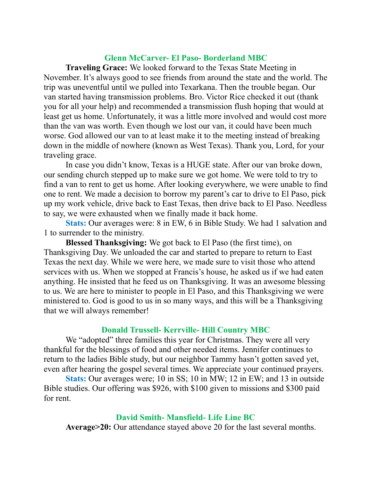### **Glenn McCarver- El Paso- Borderland MBC**

**Traveling Grace:** We looked forward to the Texas State Meeting in November. It's always good to see friends from around the state and the world. The trip was uneventful until we pulled into Texarkana. Then the trouble began. Our van started having transmission problems. Bro. Victor Rice checked it out (thank you for all your help) and recommended a transmission flush hoping that would at least get us home. Unfortunately, it was a little more involved and would cost more than the van was worth. Even though we lost our van, it could have been much worse. God allowed our van to at least make it to the meeting instead of breaking down in the middle of nowhere (known as West Texas). Thank you, Lord, for your traveling grace.

 In case you didn't know, Texas is a HUGE state. After our van broke down, our sending church stepped up to make sure we got home. We were told to try to find a van to rent to get us home. After looking everywhere, we were unable to find one to rent. We made a decision to borrow my parent's car to drive to El Paso, pick up my work vehicle, drive back to East Texas, then drive back to El Paso. Needless to say, we were exhausted when we finally made it back home.

**Stats:** Our averages were: 8 in EW, 6 in Bible Study. We had 1 salvation and 1 to surrender to the ministry.

**Blessed Thanksgiving:** We got back to El Paso (the first time), on Thanksgiving Day. We unloaded the car and started to prepare to return to East Texas the next day. While we were here, we made sure to visit those who attend services with us. When we stopped at Francis's house, he asked us if we had eaten anything. He insisted that he feed us on Thanksgiving. It was an awesome blessing to us. We are here to minister to people in El Paso, and this Thanksgiving we were ministered to. God is good to us in so many ways, and this will be a Thanksgiving that we will always remember!

## **Donald Trussell- Kerrville- Hill Country MBC**

We "adopted" three families this year for Christmas. They were all very thankful for the blessings of food and other needed items. Jennifer continues to return to the ladies Bible study, but our neighbor Tammy hasn't gotten saved yet, even after hearing the gospel several times. We appreciate your continued prayers.

**Stats:** Our averages were; 10 in SS; 10 in MW; 12 in EW; and 13 in outside Bible studies. Our offering was \$926, with \$100 given to missions and \$300 paid for rent.

### **David Smith- Mansfield- Life Line BC**

**Average>20:** Our attendance stayed above 20 for the last several months.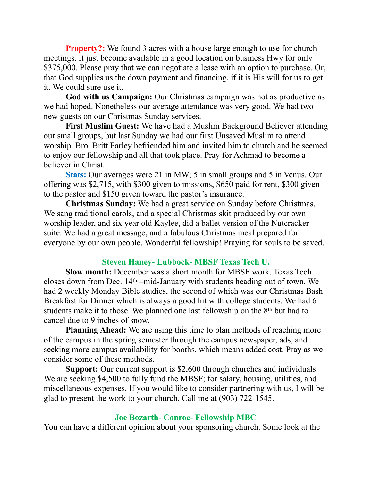**Property?:** We found 3 acres with a house large enough to use for church meetings. It just become available in a good location on business Hwy for only \$375,000. Please pray that we can negotiate a lease with an option to purchase. Or, that God supplies us the down payment and financing, if it is His will for us to get it. We could sure use it.

**God with us Campaign:** Our Christmas campaign was not as productive as we had hoped. Nonetheless our average attendance was very good. We had two new guests on our Christmas Sunday services.

**First Muslim Guest:** We have had a Muslim Background Believer attending our small groups, but last Sunday we had our first Unsaved Muslim to attend worship. Bro. Britt Farley befriended him and invited him to church and he seemed to enjoy our fellowship and all that took place. Pray for Achmad to become a believer in Christ.

**Stats:** Our averages were 21 in MW; 5 in small groups and 5 in Venus. Our offering was \$2,715, with \$300 given to missions, \$650 paid for rent, \$300 given to the pastor and \$150 given toward the pastor's insurance.

**Christmas Sunday:** We had a great service on Sunday before Christmas. We sang traditional carols, and a special Christmas skit produced by our own worship leader, and six year old Kaylee, did a ballet version of the Nutcracker suite. We had a great message, and a fabulous Christmas meal prepared for everyone by our own people. Wonderful fellowship! Praying for souls to be saved.

# **Steven Haney- Lubbock- MBSF Texas Tech U.**

 **Slow month:** December was a short month for MBSF work. Texas Tech closes down from Dec. 14th –mid-January with students heading out of town. We had 2 weekly Monday Bible studies, the second of which was our Christmas Bash Breakfast for Dinner which is always a good hit with college students. We had 6 students make it to those. We planned one last fellowship on the 8th but had to cancel due to 9 inches of snow.

**Planning Ahead:** We are using this time to plan methods of reaching more of the campus in the spring semester through the campus newspaper, ads, and seeking more campus availability for booths, which means added cost. Pray as we consider some of these methods.

**Support:** Our current support is \$2,600 through churches and individuals. We are seeking \$4,500 to fully fund the MBSF; for salary, housing, utilities, and miscellaneous expenses. If you would like to consider partnering with us, I will be glad to present the work to your church. Call me at (903) 722-1545.

## **Joe Bozarth- Conroe- Fellowship MBC**

You can have a different opinion about your sponsoring church. Some look at the